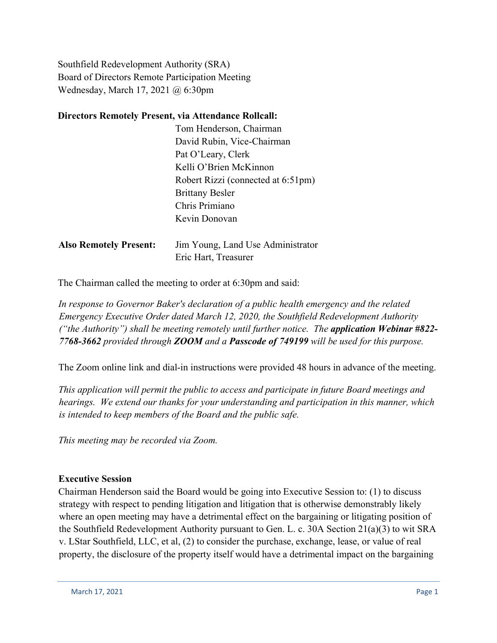Southfield Redevelopment Authority (SRA) Board of Directors Remote Participation Meeting Wednesday, March 17, 2021 @ 6:30pm

## **Directors Remotely Present, via Attendance Rollcall:**

|                               | Tom Henderson, Chairman            |
|-------------------------------|------------------------------------|
|                               | David Rubin, Vice-Chairman         |
|                               | Pat O'Leary, Clerk                 |
|                               | Kelli O'Brien McKinnon             |
|                               | Robert Rizzi (connected at 6:51pm) |
|                               | <b>Brittany Besler</b>             |
|                               | Chris Primiano                     |
|                               | Kevin Donovan                      |
| <b>Also Remotely Present:</b> | Jim Young, Land Use Administrator  |
|                               | Eric Hart, Treasurer               |

The Chairman called the meeting to order at 6:30pm and said:

*In response to Governor Baker's declaration of a public health emergency and the related Emergency Executive Order dated March 12, 2020, the Southfield Redevelopment Authority ("the Authority") shall be meeting remotely until further notice. The application Webinar #822- 7768-3662 provided through ZOOM and a Passcode of 749199 will be used for this purpose.*

The Zoom online link and dial-in instructions were provided 48 hours in advance of the meeting.

*This application will permit the public to access and participate in future Board meetings and hearings. We extend our thanks for your understanding and participation in this manner, which is intended to keep members of the Board and the public safe.*

*This meeting may be recorded via Zoom.*

### **Executive Session**

Chairman Henderson said the Board would be going into Executive Session to: (1) to discuss strategy with respect to pending litigation and litigation that is otherwise demonstrably likely where an open meeting may have a detrimental effect on the bargaining or litigating position of the Southfield Redevelopment Authority pursuant to Gen. L. c. 30A Section 21(a)(3) to wit SRA v. LStar Southfield, LLC, et al, (2) to consider the purchase, exchange, lease, or value of real property, the disclosure of the property itself would have a detrimental impact on the bargaining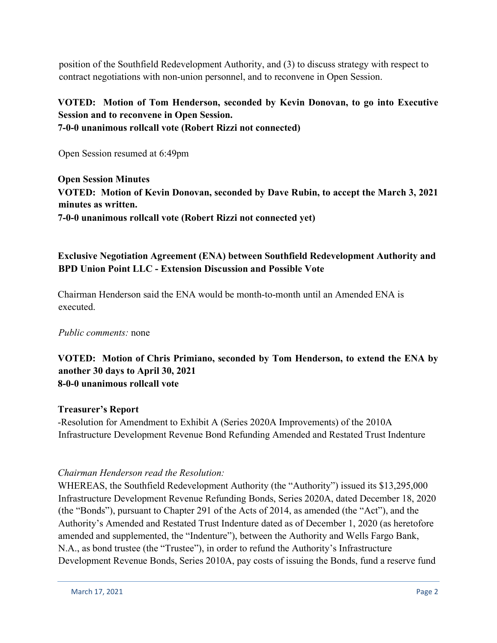position of the Southfield Redevelopment Authority, and (3) to discuss strategy with respect to contract negotiations with non-union personnel, and to reconvene in Open Session.

# **VOTED: Motion of Tom Henderson, seconded by Kevin Donovan, to go into Executive Session and to reconvene in Open Session. 7-0-0 unanimous rollcall vote (Robert Rizzi not connected)**

Open Session resumed at 6:49pm

**Open Session Minutes VOTED: Motion of Kevin Donovan, seconded by Dave Rubin, to accept the March 3, 2021 minutes as written. 7-0-0 unanimous rollcall vote (Robert Rizzi not connected yet)**

# **Exclusive Negotiation Agreement (ENA) between Southfield Redevelopment Authority and BPD Union Point LLC - Extension Discussion and Possible Vote**

Chairman Henderson said the ENA would be month-to-month until an Amended ENA is executed.

### *Public comments:* none

## **VOTED: Motion of Chris Primiano, seconded by Tom Henderson, to extend the ENA by another 30 days to April 30, 2021 8-0-0 unanimous rollcall vote**

### **Treasurer's Report**

-Resolution for Amendment to Exhibit A (Series 2020A Improvements) of the 2010A Infrastructure Development Revenue Bond Refunding Amended and Restated Trust Indenture

### *Chairman Henderson read the Resolution:*

WHEREAS, the Southfield Redevelopment Authority (the "Authority") issued its \$13,295,000 Infrastructure Development Revenue Refunding Bonds, Series 2020A, dated December 18, 2020 (the "Bonds"), pursuant to Chapter 291 of the Acts of 2014, as amended (the "Act"), and the Authority's Amended and Restated Trust Indenture dated as of December 1, 2020 (as heretofore amended and supplemented, the "Indenture"), between the Authority and Wells Fargo Bank, N.A., as bond trustee (the "Trustee"), in order to refund the Authority's Infrastructure Development Revenue Bonds, Series 2010A, pay costs of issuing the Bonds, fund a reserve fund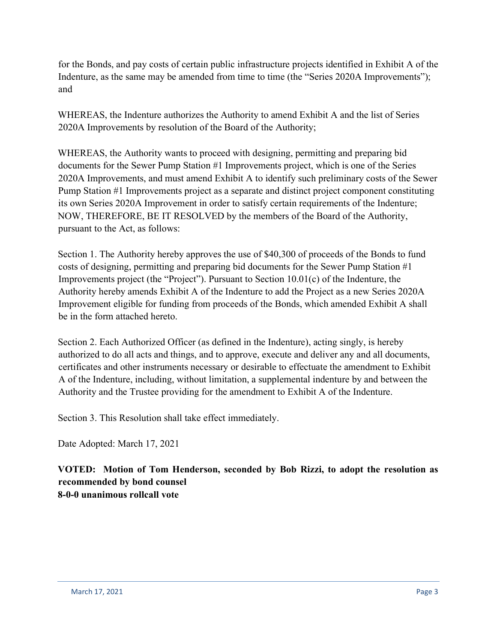for the Bonds, and pay costs of certain public infrastructure projects identified in Exhibit A of the Indenture, as the same may be amended from time to time (the "Series 2020A Improvements"); and

WHEREAS, the Indenture authorizes the Authority to amend Exhibit A and the list of Series 2020A Improvements by resolution of the Board of the Authority;

WHEREAS, the Authority wants to proceed with designing, permitting and preparing bid documents for the Sewer Pump Station #1 Improvements project, which is one of the Series 2020A Improvements, and must amend Exhibit A to identify such preliminary costs of the Sewer Pump Station #1 Improvements project as a separate and distinct project component constituting its own Series 2020A Improvement in order to satisfy certain requirements of the Indenture; NOW, THEREFORE, BE IT RESOLVED by the members of the Board of the Authority, pursuant to the Act, as follows:

Section 1. The Authority hereby approves the use of \$40,300 of proceeds of the Bonds to fund costs of designing, permitting and preparing bid documents for the Sewer Pump Station #1 Improvements project (the "Project"). Pursuant to Section 10.01(c) of the Indenture, the Authority hereby amends Exhibit A of the Indenture to add the Project as a new Series 2020A Improvement eligible for funding from proceeds of the Bonds, which amended Exhibit A shall be in the form attached hereto.

Section 2. Each Authorized Officer (as defined in the Indenture), acting singly, is hereby authorized to do all acts and things, and to approve, execute and deliver any and all documents, certificates and other instruments necessary or desirable to effectuate the amendment to Exhibit A of the Indenture, including, without limitation, a supplemental indenture by and between the Authority and the Trustee providing for the amendment to Exhibit A of the Indenture.

Section 3. This Resolution shall take effect immediately.

Date Adopted: March 17, 2021

**VOTED: Motion of Tom Henderson, seconded by Bob Rizzi, to adopt the resolution as recommended by bond counsel 8-0-0 unanimous rollcall vote**